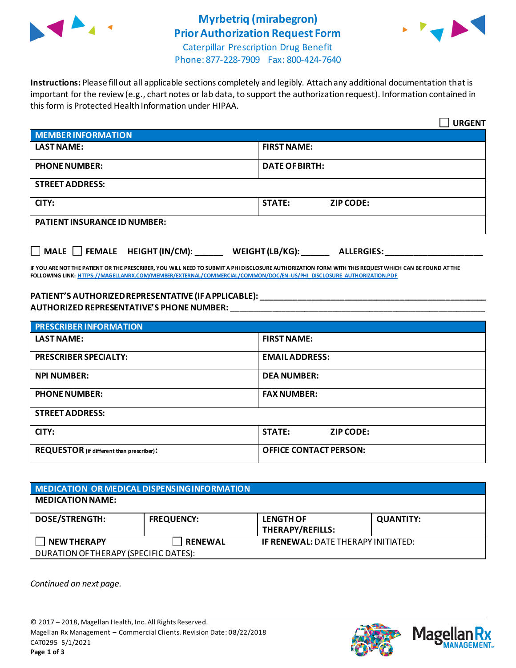

# **Myrbetriq (mirabegron) Prior Authorization Request Form**



Caterpillar Prescription Drug Benefit Phone: 877-228-7909 Fax: 800-424-7640

**Instructions:** Please fill out all applicable sections completely and legibly. Attach any additional documentation that is important for the review (e.g., chart notes or lab data, to support the authorization request). Information contained in this form is Protected Health Information under HIPAA.

|                                                                                   | <b>URGENT</b>                     |  |  |
|-----------------------------------------------------------------------------------|-----------------------------------|--|--|
| <b>MEMBER INFORMATION</b>                                                         |                                   |  |  |
| <b>LAST NAME:</b>                                                                 | <b>FIRST NAME:</b>                |  |  |
| <b>PHONE NUMBER:</b>                                                              | <b>DATE OF BIRTH:</b>             |  |  |
| <b>STREET ADDRESS:</b>                                                            |                                   |  |  |
| CITY:                                                                             | <b>STATE:</b><br><b>ZIP CODE:</b> |  |  |
| <b>PATIENT INSURANCE ID NUMBER:</b>                                               |                                   |  |  |
| $\Box$ MALE $\Box$ FEMALE HEIGHT (IN/CM):<br>WEIGHT (LB/KG):<br><b>ALLERGIES:</b> |                                   |  |  |

**IF YOU ARE NOT THE PATIENT OR THE PRESCRIBER, YOU WILL NEED TO SUBMIT A PHI DISCLOSURE AUTHORIZATION FORM WITH THIS REQUEST WHICH CAN BE FOUND AT THE FOLLOWING LINK[: HTTPS://MAGELLANRX.COM/MEMBER/EXTERNAL/COMMERCIAL/COMMON/DOC/EN-US/PHI\\_DISCLOSURE\\_AUTHORIZATION.PDF](https://magellanrx.com/member/external/commercial/common/doc/en-us/PHI_Disclosure_Authorization.pdf)**

### **PATIENT'S AUTHORIZED REPRESENTATIVE (IF APPLICABLE): \_\_\_\_\_\_\_\_\_\_\_\_\_\_\_\_\_\_\_\_\_\_\_\_\_\_\_\_\_\_\_\_\_\_\_\_\_\_\_\_\_\_\_\_\_\_\_\_\_ AUTHORIZED REPRESENTATIVE'S PHONE NUMBER:** \_\_\_\_\_\_\_\_\_\_\_\_\_\_\_\_\_\_\_\_\_\_\_\_\_\_\_\_\_\_\_\_\_\_\_\_\_\_\_\_\_\_\_\_\_\_\_\_\_\_\_\_\_\_\_

| <b>PRESCRIBER INFORMATION</b>             |                               |  |
|-------------------------------------------|-------------------------------|--|
| <b>LAST NAME:</b>                         | <b>FIRST NAME:</b>            |  |
| <b>PRESCRIBER SPECIALTY:</b>              | <b>EMAIL ADDRESS:</b>         |  |
| <b>NPI NUMBER:</b>                        | <b>DEA NUMBER:</b>            |  |
| <b>PHONE NUMBER:</b>                      | <b>FAX NUMBER:</b>            |  |
| <b>STREET ADDRESS:</b>                    |                               |  |
| CITY:                                     | <b>STATE:</b><br>ZIP CODE:    |  |
| REQUESTOR (if different than prescriber): | <b>OFFICE CONTACT PERSON:</b> |  |

| <b>MEDICATION OR MEDICAL DISPENSING INFORMATION</b> |                   |                                            |                  |  |  |
|-----------------------------------------------------|-------------------|--------------------------------------------|------------------|--|--|
| <b>MEDICATION NAME:</b>                             |                   |                                            |                  |  |  |
| <b>DOSE/STRENGTH:</b>                               | <b>FREQUENCY:</b> | <b>LENGTH OF</b><br>THERAPY/REFILLS:       | <b>QUANTITY:</b> |  |  |
| <b>NEW THERAPY</b>                                  | <b>RENEWAL</b>    | <b>IF RENEWAL: DATE THERAPY INITIATED:</b> |                  |  |  |
| DURATION OF THERAPY (SPECIFIC DATES):               |                   |                                            |                  |  |  |

*Continued on next page.*



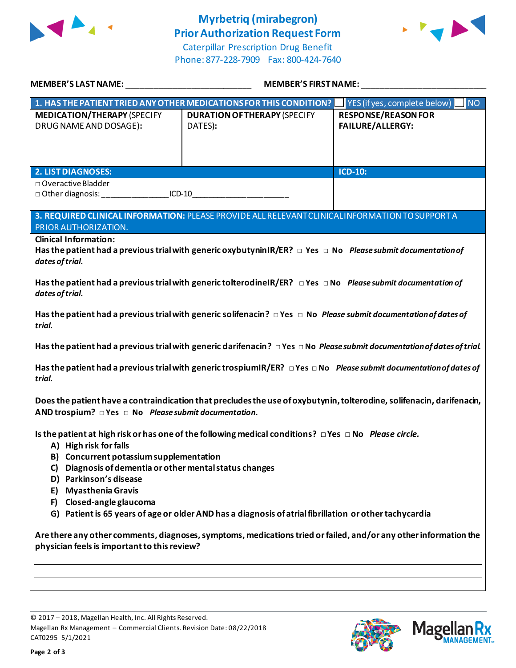

# **Myrbetriq (mirabegron) Prior Authorization Request Form**





| MEMBER'S LAST NAME:                                                                                                                                                                      | <b>MEMBER'S FIRST NAME:</b>                                                                                                        |                                                       |  |  |
|------------------------------------------------------------------------------------------------------------------------------------------------------------------------------------------|------------------------------------------------------------------------------------------------------------------------------------|-------------------------------------------------------|--|--|
|                                                                                                                                                                                          | 1. HAS THE PATIENT TRIED ANY OTHER MEDICATIONS FOR THIS CONDITION?                                                                 | YES (if yes, complete below)<br><b>NO</b>             |  |  |
| <b>MEDICATION/THERAPY (SPECIFY</b><br>DRUG NAME AND DOSAGE):                                                                                                                             | <b>DURATION OF THERAPY (SPECIFY</b><br>DATES):                                                                                     | <b>RESPONSE/REASON FOR</b><br><b>FAILURE/ALLERGY:</b> |  |  |
| <b>2. LIST DIAGNOSES:</b>                                                                                                                                                                |                                                                                                                                    | <b>ICD-10:</b>                                        |  |  |
| □ Overactive Bladder<br>□ Other diagnosis: _____________________ICD-10__________________________________                                                                                 |                                                                                                                                    |                                                       |  |  |
| PRIOR AUTHORIZATION.                                                                                                                                                                     | 3. REQUIRED CLINICAL INFORMATION: PLEASE PROVIDE ALL RELEVANT CLINICAL INFORMATION TO SUPPORT A                                    |                                                       |  |  |
| <b>Clinical Information:</b><br>Has the patient had a previous trial with generic oxybutyninIR/ER? $\Box$ Yes $\Box$ No Please submit documentation of<br>dates of trial.                |                                                                                                                                    |                                                       |  |  |
| Has the patient had a previous trial with generic tolterodinel R/ER? $\Box$ Yes $\Box$ No Please submit documentation of<br>dates of trial.                                              |                                                                                                                                    |                                                       |  |  |
| Has the patient had a previous trial with generic solifenacin? $\Box$ Yes $\Box$ No Please submit documentation of dates of<br>trial.                                                    |                                                                                                                                    |                                                       |  |  |
|                                                                                                                                                                                          | Has the patient had a previous trial with generic darifenacin? $\Box$ Yes $\Box$ No Please submit documentation of dates of trial. |                                                       |  |  |
| Has the patient had a previous trial with generic trospiumIR/ER? $\Box$ Yes $\Box$ No Please submit documentation of dates of<br>trial.                                                  |                                                                                                                                    |                                                       |  |  |
| Does the patient have a contraindication that precludes the use of oxybutynin, tolterodine, solifenacin, darifenacin,<br>AND trospium? $\Box$ Yes $\Box$ No Please submit documentation. |                                                                                                                                    |                                                       |  |  |
| A) High risk for falls<br>B) Concurrent potassium supplementation<br>Diagnosis of dementia or other mental status changes<br>C)<br>D) Parkinson's disease                                | Is the patient at high risk or has one of the following medical conditions? $\Box$ Yes $\Box$ No Please circle.                    |                                                       |  |  |
| E) Myasthenia Gravis<br>F) Closed-angle glaucoma                                                                                                                                         |                                                                                                                                    |                                                       |  |  |
|                                                                                                                                                                                          | G) Patient is 65 years of age or older AND has a diagnosis of atrial fibrillation or other tachycardia                             |                                                       |  |  |
| Are there any other comments, diagnoses, symptoms, medications tried or failed, and/or any other information the<br>physician feels is important to this review?                         |                                                                                                                                    |                                                       |  |  |
|                                                                                                                                                                                          |                                                                                                                                    |                                                       |  |  |